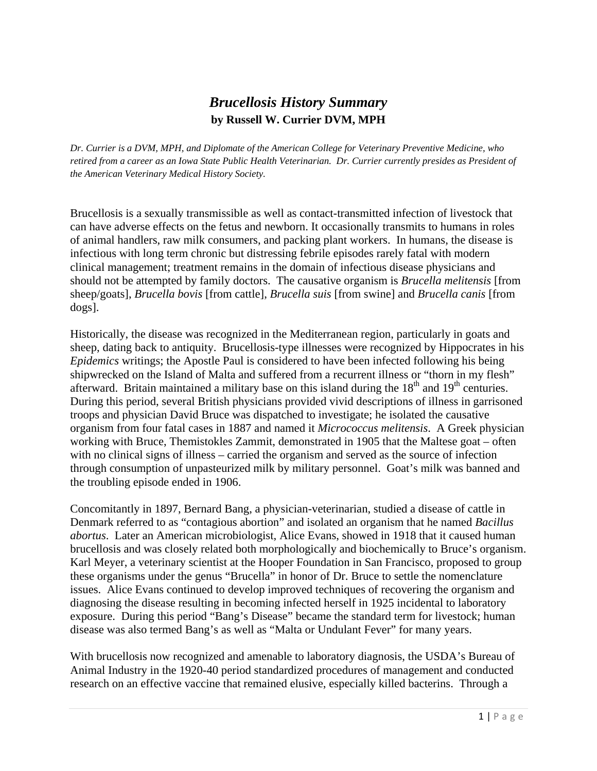## *Brucellosis History Summary* **by Russell W. Currier DVM, MPH**

*Dr. Currier is a DVM, MPH, and Diplomate of the American College for Veterinary Preventive Medicine, who retired from a career as an Iowa State Public Health Veterinarian. Dr. Currier currently presides as President of the American Veterinary Medical History Society.* 

Brucellosis is a sexually transmissible as well as contact-transmitted infection of livestock that can have adverse effects on the fetus and newborn. It occasionally transmits to humans in roles of animal handlers, raw milk consumers, and packing plant workers. In humans, the disease is infectious with long term chronic but distressing febrile episodes rarely fatal with modern clinical management; treatment remains in the domain of infectious disease physicians and should not be attempted by family doctors. The causative organism is *Brucella melitensis* [from sheep/goats], *Brucella bovis* [from cattle], *Brucella suis* [from swine] and *Brucella canis* [from dogs].

Historically, the disease was recognized in the Mediterranean region, particularly in goats and sheep, dating back to antiquity. Brucellosis-type illnesses were recognized by Hippocrates in his *Epidemics* writings; the Apostle Paul is considered to have been infected following his being shipwrecked on the Island of Malta and suffered from a recurrent illness or "thorn in my flesh" afterward. Britain maintained a military base on this island during the  $18<sup>th</sup>$  and  $19<sup>th</sup>$  centuries. During this period, several British physicians provided vivid descriptions of illness in garrisoned troops and physician David Bruce was dispatched to investigate; he isolated the causative organism from four fatal cases in 1887 and named it *Micrococcus melitensis*. A Greek physician working with Bruce, Themistokles Zammit, demonstrated in 1905 that the Maltese goat – often with no clinical signs of illness – carried the organism and served as the source of infection through consumption of unpasteurized milk by military personnel. Goat's milk was banned and the troubling episode ended in 1906.

Concomitantly in 1897, Bernard Bang, a physician-veterinarian, studied a disease of cattle in Denmark referred to as "contagious abortion" and isolated an organism that he named *Bacillus abortus*. Later an American microbiologist, Alice Evans, showed in 1918 that it caused human brucellosis and was closely related both morphologically and biochemically to Bruce's organism. Karl Meyer, a veterinary scientist at the Hooper Foundation in San Francisco, proposed to group these organisms under the genus "Brucella" in honor of Dr. Bruce to settle the nomenclature issues. Alice Evans continued to develop improved techniques of recovering the organism and diagnosing the disease resulting in becoming infected herself in 1925 incidental to laboratory exposure. During this period "Bang's Disease" became the standard term for livestock; human disease was also termed Bang's as well as "Malta or Undulant Fever" for many years.

With brucellosis now recognized and amenable to laboratory diagnosis, the USDA's Bureau of Animal Industry in the 1920-40 period standardized procedures of management and conducted research on an effective vaccine that remained elusive, especially killed bacterins. Through a